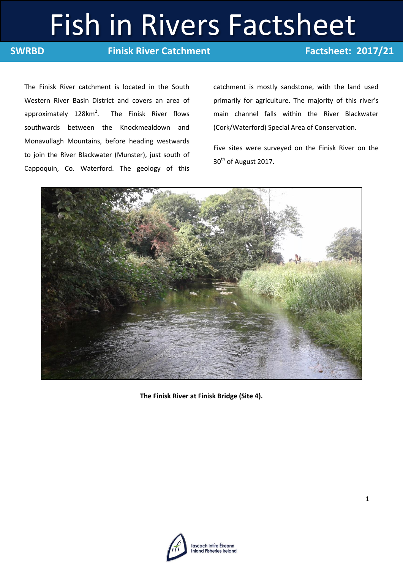# Fish in Rivers Factsheet

**SWRBD Finisk River Catchment Factsheet: 2017/21** 

The Finisk River catchment is located in the South Western River Basin District and covers an area of approximately  $128 \text{km}^2$ . . The Finisk River flows southwards between the Knockmealdown and Monavullagh Mountains, before heading westwards to join the River Blackwater (Munster), just south of Cappoquin, Co. Waterford. The geology of this catchment is mostly sandstone, with the land used primarily for agriculture. The majority of this river's main channel falls within the River Blackwater (Cork/Waterford) Special Area of Conservation.

Five sites were surveyed on the Finisk River on the 30<sup>th</sup> of August 2017.



**The Finisk River at Finisk Bridge (Site 4).**

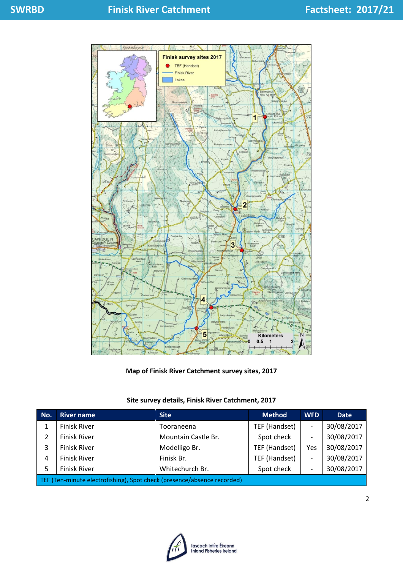

**Map of Finisk River Catchment survey sites, 2017**

# **Site survey details, Finisk River Catchment, 2017**

| No.                                                                     | <b>River name</b>   | <b>Site</b>         | <b>Method</b> | <b>WFD</b>               | <b>Date</b> |  |
|-------------------------------------------------------------------------|---------------------|---------------------|---------------|--------------------------|-------------|--|
|                                                                         | <b>Finisk River</b> | Tooraneena          | TEF (Handset) | $\overline{\phantom{a}}$ | 30/08/2017  |  |
| 2                                                                       | <b>Finisk River</b> | Mountain Castle Br. | Spot check    | $\overline{\phantom{a}}$ | 30/08/2017  |  |
| 3                                                                       | <b>Finisk River</b> | Modelligo Br.       | TEF (Handset) | Yes                      | 30/08/2017  |  |
| 4                                                                       | <b>Finisk River</b> | Finisk Br.          | TEF (Handset) | $\overline{\phantom{a}}$ | 30/08/2017  |  |
| 5                                                                       | <b>Finisk River</b> | Whitechurch Br.     | Spot check    | $\overline{\phantom{a}}$ | 30/08/2017  |  |
| TEF (Ten-minute electrofishing), Spot check (presence/absence recorded) |                     |                     |               |                          |             |  |

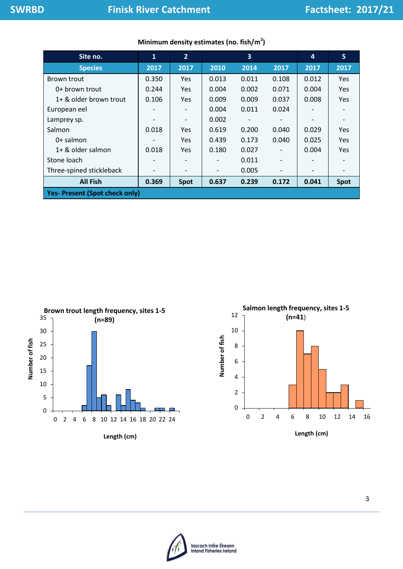| Site no.                              | $\mathbf{1}$ | $2^{\circ}$ |       | 3     |                          | 4     | 5           |
|---------------------------------------|--------------|-------------|-------|-------|--------------------------|-------|-------------|
| <b>Species</b>                        | 2017         | 2017        | 2010  | 2014  | 2017                     | 2017  | 2017        |
| Brown trout                           | 0.350        | Yes         | 0.013 | 0.011 | 0.108                    | 0.012 | <b>Yes</b>  |
| 0+ brown trout                        | 0.244        | Yes         | 0.004 | 0.002 | 0.071                    | 0.004 | <b>Yes</b>  |
| 1+ & older brown trout                | 0.106        | Yes         | 0.009 | 0.009 | 0.037                    | 0.008 | <b>Yes</b>  |
| European eel                          |              |             | 0.004 | 0.011 | 0.024                    |       |             |
| Lamprey sp.                           |              |             | 0.002 |       |                          |       |             |
| Salmon                                | 0.018        | Yes         | 0.619 | 0.200 | 0.040                    | 0.029 | <b>Yes</b>  |
| $0+$ salmon                           |              | Yes         | 0.439 | 0.173 | 0.040                    | 0.025 | <b>Yes</b>  |
| $1+$ & older salmon                   | 0.018        | Yes         | 0.180 | 0.027 | $\overline{\phantom{0}}$ | 0.004 | <b>Yes</b>  |
| Stone loach                           |              |             |       | 0.011 | -                        |       |             |
| Three-spined stickleback              |              |             |       | 0.005 |                          | -     |             |
| <b>All Fish</b>                       | 0.369        | Spot        | 0.637 | 0.239 | 0.172                    | 0.041 | <b>Spot</b> |
| <b>Yes- Present (Spot check only)</b> |              |             |       |       |                          |       |             |

# **Minimum density estimates (no. fish/m<sup>2</sup> )**